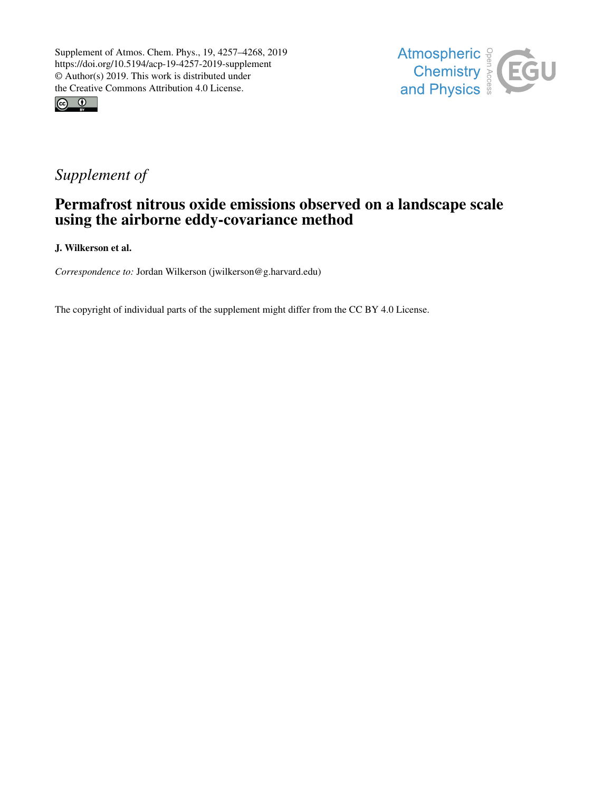



## *Supplement of*

## Permafrost nitrous oxide emissions observed on a landscape scale using the airborne eddy-covariance method

J. Wilkerson et al.

*Correspondence to:* Jordan Wilkerson (jwilkerson@g.harvard.edu)

The copyright of individual parts of the supplement might differ from the CC BY 4.0 License.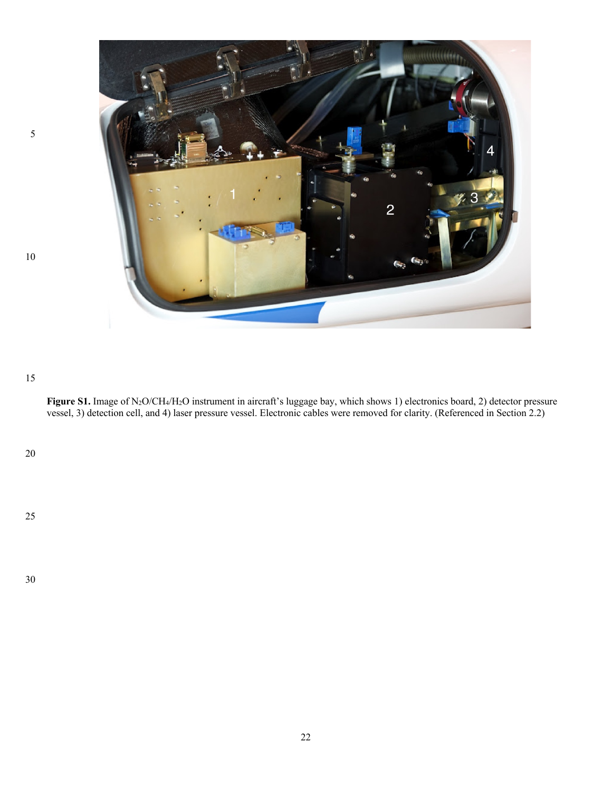

## 

**Figure S1.** Image of N2O/CH4/H2O instrument in aircraft's luggage bay, which shows 1) electronics board, 2) detector pressure vessel, 3) detection cell, and 4) laser pressure vessel. Electronic cables were removed for clarity. (Referenced in Section 2.2)

##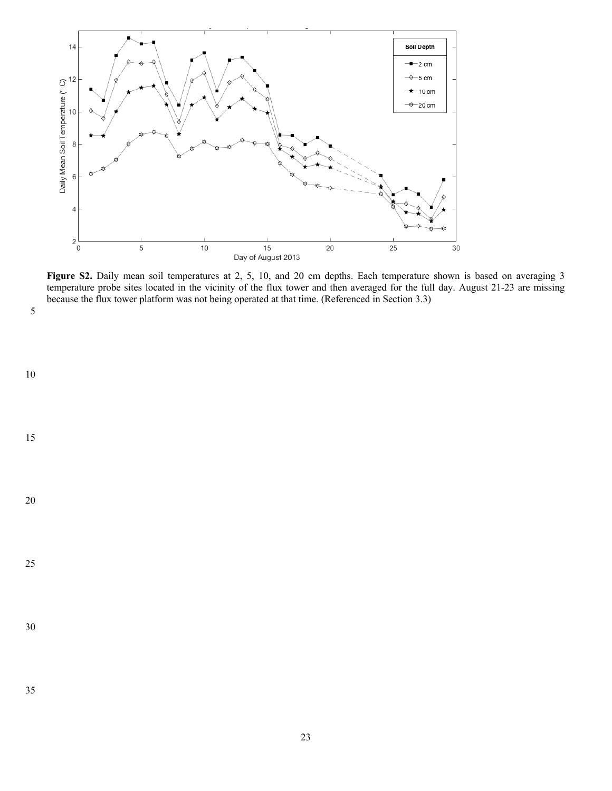

**Figure S2.** Daily mean soil temperatures at 2, 5, 10, and 20 cm depths. Each temperature shown is based on averaging 3 temperature probe sites located in the vicinity of the flux tower and then averaged for the full day. August 21-23 are missing because the flux tower platform was not being operated at that time. (Referenced in Section 3.3)